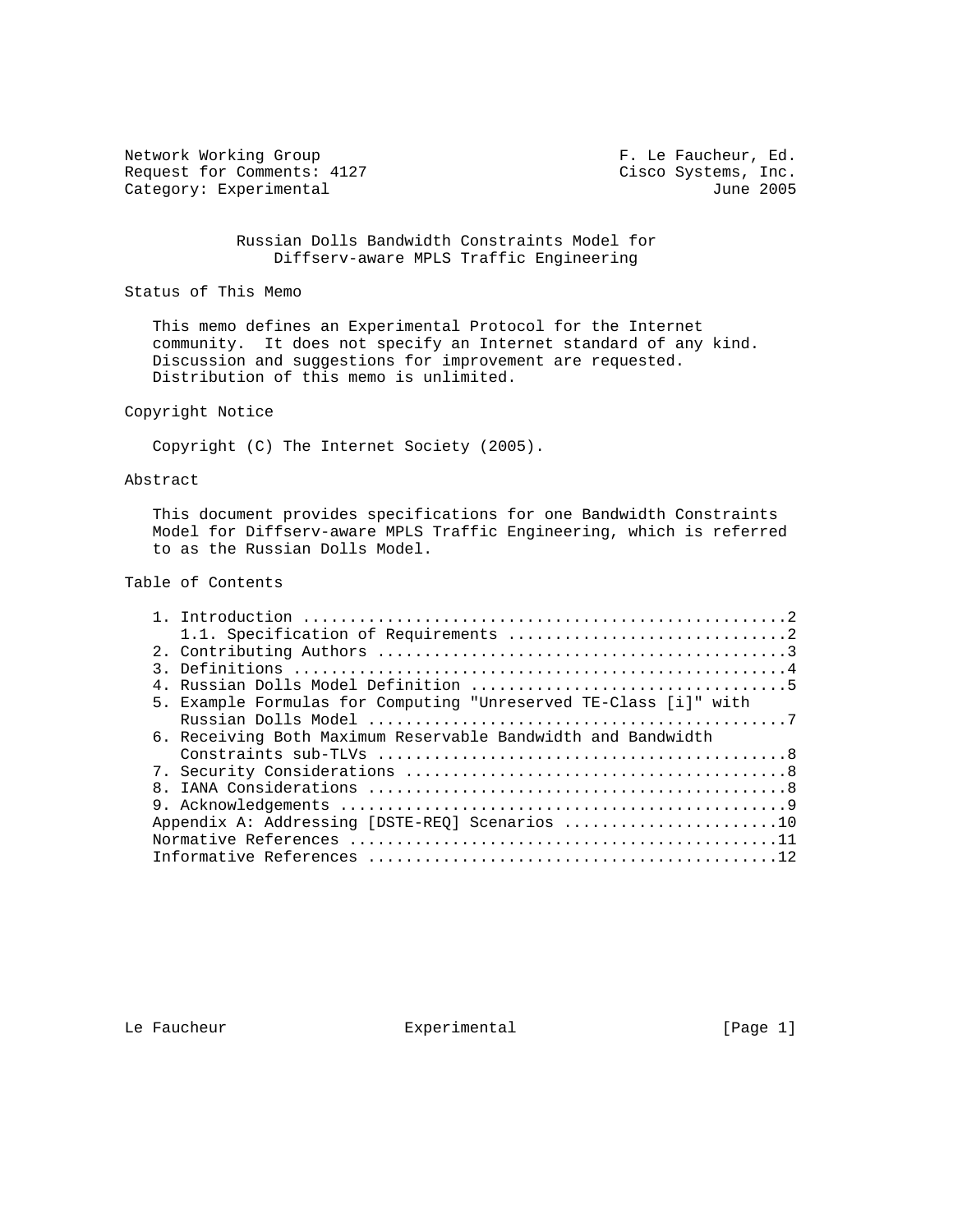Network Working Group **F. Le Faucheur, Ed.** Request for Comments: 4127 Cisco Systems, Inc.<br>Category: Experimental due of the category: Experimental due Category: Experimental

 Russian Dolls Bandwidth Constraints Model for Diffserv-aware MPLS Traffic Engineering

Status of This Memo

 This memo defines an Experimental Protocol for the Internet community. It does not specify an Internet standard of any kind. Discussion and suggestions for improvement are requested. Distribution of this memo is unlimited.

# Copyright Notice

Copyright (C) The Internet Society (2005).

#### Abstract

 This document provides specifications for one Bandwidth Constraints Model for Diffserv-aware MPLS Traffic Engineering, which is referred to as the Russian Dolls Model.

# Table of Contents

|  | 5. Example Formulas for Computing "Unreserved TE-Class [i]" with |
|--|------------------------------------------------------------------|
|  |                                                                  |
|  | 6. Receiving Both Maximum Reservable Bandwidth and Bandwidth     |
|  |                                                                  |
|  |                                                                  |
|  |                                                                  |
|  |                                                                  |
|  |                                                                  |
|  |                                                                  |
|  |                                                                  |

Le Faucheur  $\qquad \qquad$  Experimental  $\qquad \qquad$  [Page 1]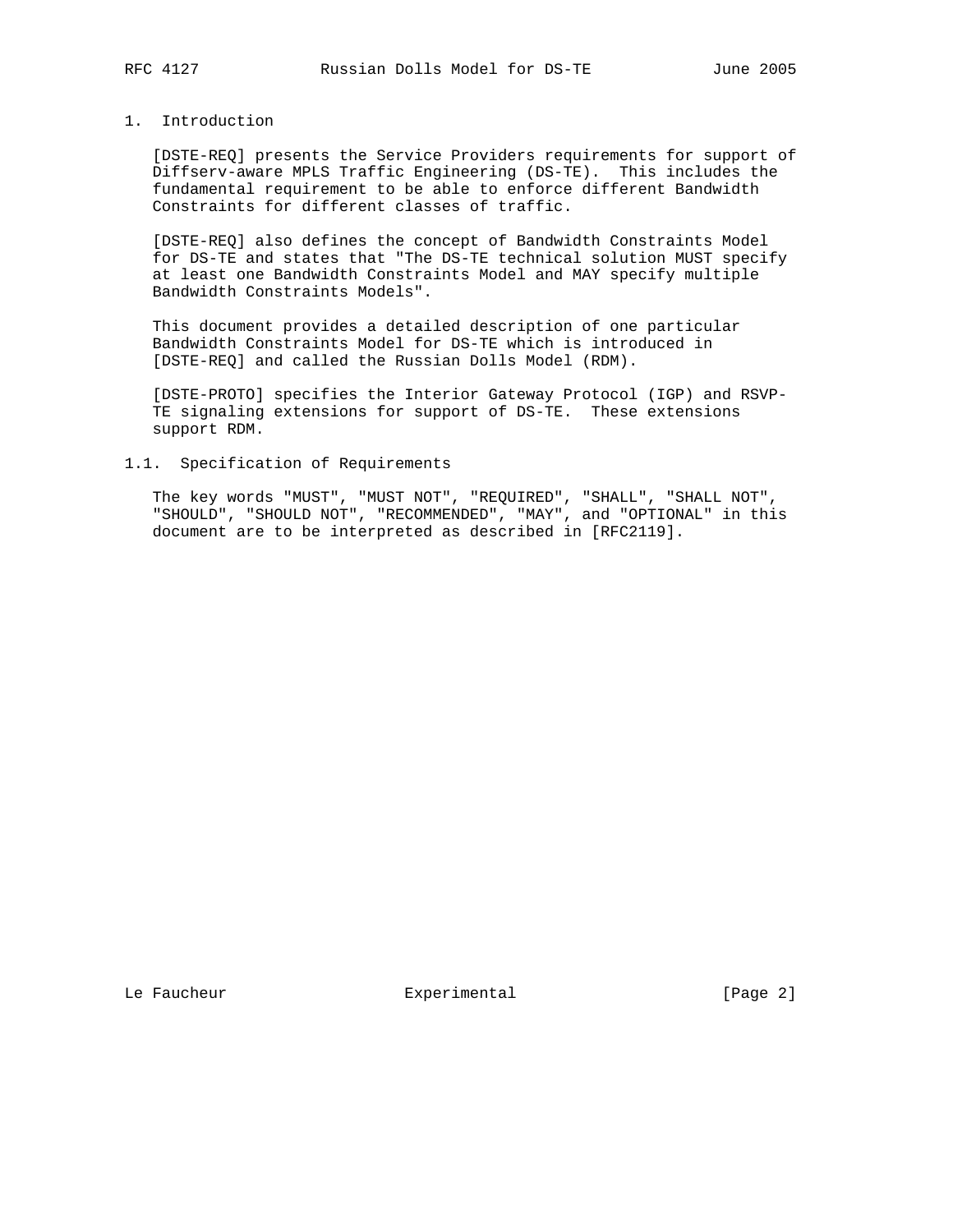## 1. Introduction

 [DSTE-REQ] presents the Service Providers requirements for support of Diffserv-aware MPLS Traffic Engineering (DS-TE). This includes the fundamental requirement to be able to enforce different Bandwidth Constraints for different classes of traffic.

 [DSTE-REQ] also defines the concept of Bandwidth Constraints Model for DS-TE and states that "The DS-TE technical solution MUST specify at least one Bandwidth Constraints Model and MAY specify multiple Bandwidth Constraints Models".

 This document provides a detailed description of one particular Bandwidth Constraints Model for DS-TE which is introduced in [DSTE-REQ] and called the Russian Dolls Model (RDM).

 [DSTE-PROTO] specifies the Interior Gateway Protocol (IGP) and RSVP- TE signaling extensions for support of DS-TE. These extensions support RDM.

#### 1.1. Specification of Requirements

 The key words "MUST", "MUST NOT", "REQUIRED", "SHALL", "SHALL NOT", "SHOULD", "SHOULD NOT", "RECOMMENDED", "MAY", and "OPTIONAL" in this document are to be interpreted as described in [RFC2119].

Le Faucheur **Experimental** Experimental [Page 2]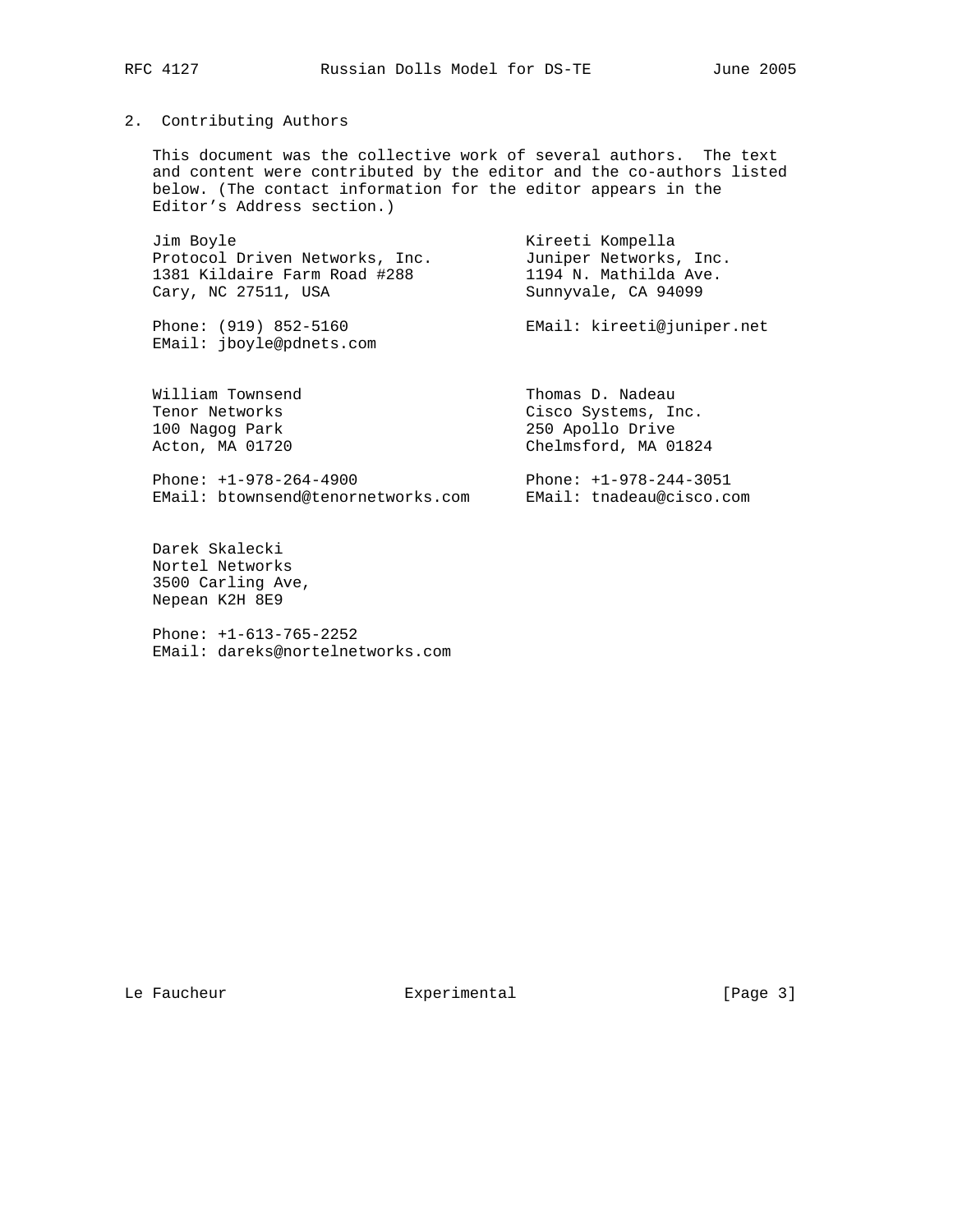## 2. Contributing Authors

 This document was the collective work of several authors. The text and content were contributed by the editor and the co-authors listed below. (The contact information for the editor appears in the Editor's Address section.)

Jim Boyle **Kireeti Kompella**  Protocol Driven Networks, Inc. Juniper Networks, Inc. 1381 Kildaire Farm Road #288 1194 N. Mathilda Ave. Cary, NC 27511, USA Sunnyvale, CA 94099 Phone: (919) 852-5160 EMail: kireeti@juniper.net EMail: jboyle@pdnets.com William Townsend Thomas D. Nadeau Tenor Networks Cisco Systems, Inc.

Phone: +1-978-264-4900 Phone: +1-978-244-3051

 100 Nagog Park 250 Apollo Drive Acton, MA 01720 Chelmsford, MA 01824

EMail: btownsend@tenornetworks.com EMail: tnadeau@cisco.com

 Darek Skalecki Nortel Networks 3500 Carling Ave, Nepean K2H 8E9

 Phone: +1-613-765-2252 EMail: dareks@nortelnetworks.com

Le Faucheur **Experimental** Experimental [Page 3]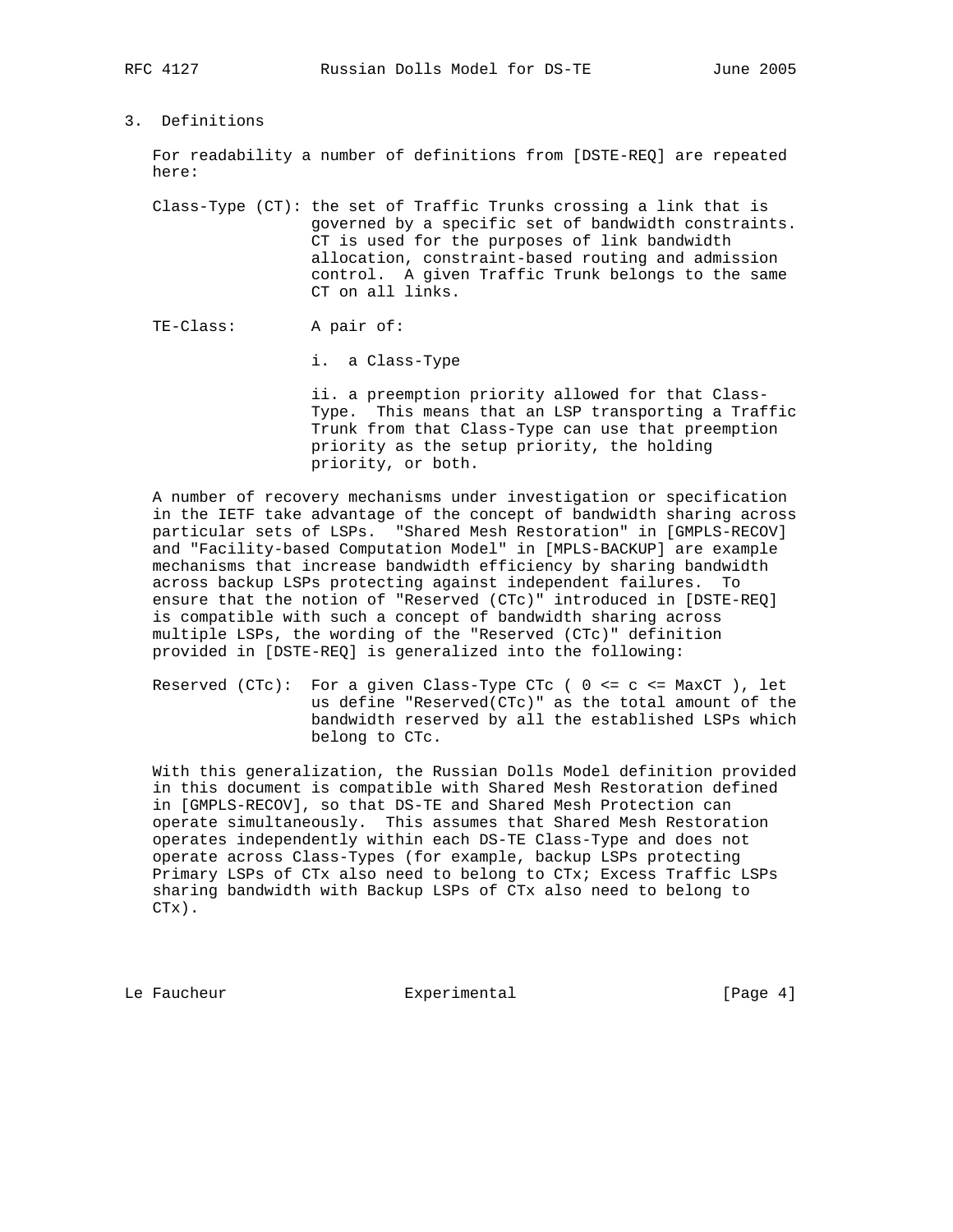# 3. Definitions

 For readability a number of definitions from [DSTE-REQ] are repeated here:

 Class-Type (CT): the set of Traffic Trunks crossing a link that is governed by a specific set of bandwidth constraints. CT is used for the purposes of link bandwidth allocation, constraint-based routing and admission control. A given Traffic Trunk belongs to the same CT on all links.

TE-Class: A pair of:

i. a Class-Type

 ii. a preemption priority allowed for that Class- Type. This means that an LSP transporting a Traffic Trunk from that Class-Type can use that preemption priority as the setup priority, the holding priority, or both.

 A number of recovery mechanisms under investigation or specification in the IETF take advantage of the concept of bandwidth sharing across particular sets of LSPs. "Shared Mesh Restoration" in [GMPLS-RECOV] and "Facility-based Computation Model" in [MPLS-BACKUP] are example mechanisms that increase bandwidth efficiency by sharing bandwidth across backup LSPs protecting against independent failures. To ensure that the notion of "Reserved (CTc)" introduced in [DSTE-REQ] is compatible with such a concept of bandwidth sharing across multiple LSPs, the wording of the "Reserved (CTc)" definition provided in [DSTE-REQ] is generalized into the following:

Reserved (CTc): For a given Class-Type CTc (  $0 \leq c \leq \text{MaxCT}$  ), let us define "Reserved(CTc)" as the total amount of the bandwidth reserved by all the established LSPs which belong to CTc.

 With this generalization, the Russian Dolls Model definition provided in this document is compatible with Shared Mesh Restoration defined in [GMPLS-RECOV], so that DS-TE and Shared Mesh Protection can operate simultaneously. This assumes that Shared Mesh Restoration operates independently within each DS-TE Class-Type and does not operate across Class-Types (for example, backup LSPs protecting Primary LSPs of CTx also need to belong to CTx; Excess Traffic LSPs sharing bandwidth with Backup LSPs of CTx also need to belong to CTx).

Le Faucheur  $\qquad \qquad$  Experimental  $\qquad \qquad$  [Page 4]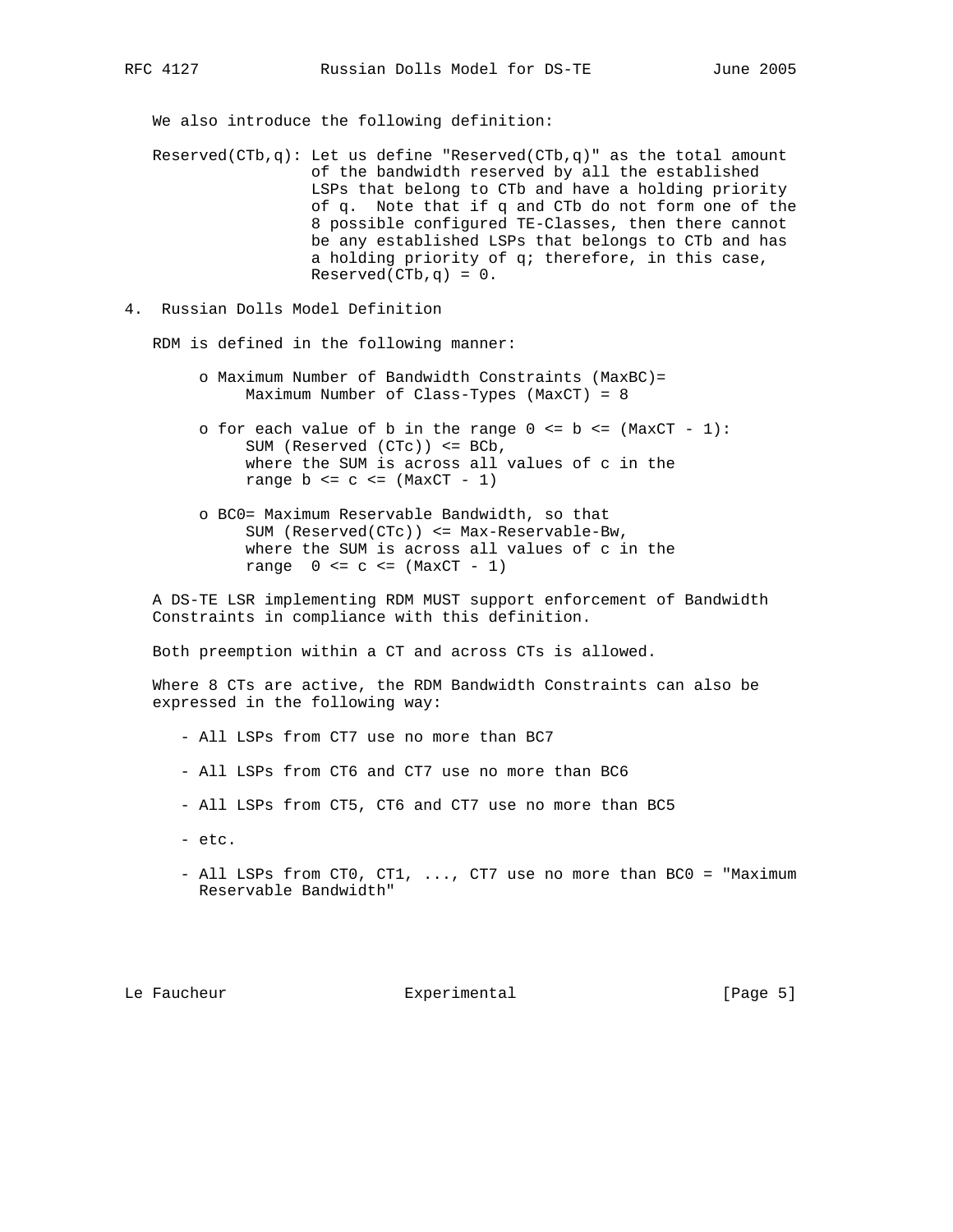We also introduce the following definition:

Reserved(CTb,q): Let us define "Reserved(CTb,q)" as the total amount of the bandwidth reserved by all the established LSPs that belong to CTb and have a holding priority of q. Note that if q and CTb do not form one of the 8 possible configured TE-Classes, then there cannot be any established LSPs that belongs to CTb and has a holding priority of q; therefore, in this case,  $Reserved(CTb,q) = 0.$ 

4. Russian Dolls Model Definition

RDM is defined in the following manner:

- o Maximum Number of Bandwidth Constraints (MaxBC)= Maximum Number of Class-Types (MaxCT) = 8
- o for each value of b in the range  $0 \le b \le (MaxCT 1)$ : SUM (Reserved (CTc)) <= BCb, where the SUM is across all values of c in the range  $b \leq c \leq (MaxCT - 1)$
- o BC0= Maximum Reservable Bandwidth, so that SUM (Reserved(CTc)) <= Max-Reservable-Bw, where the SUM is across all values of c in the range  $0 \leq c \leq (\text{MaxCT} - 1)$

 A DS-TE LSR implementing RDM MUST support enforcement of Bandwidth Constraints in compliance with this definition.

Both preemption within a CT and across CTs is allowed.

 Where 8 CTs are active, the RDM Bandwidth Constraints can also be expressed in the following way:

- All LSPs from CT7 use no more than BC7

- All LSPs from CT6 and CT7 use no more than BC6
- All LSPs from CT5, CT6 and CT7 use no more than BC5
- etc.
- All LSPs from CT0, CT1, ..., CT7 use no more than BC0 = "Maximum Reservable Bandwidth"

Le Faucheur  $\qquad \qquad$  Experimental  $\qquad \qquad$  [Page 5]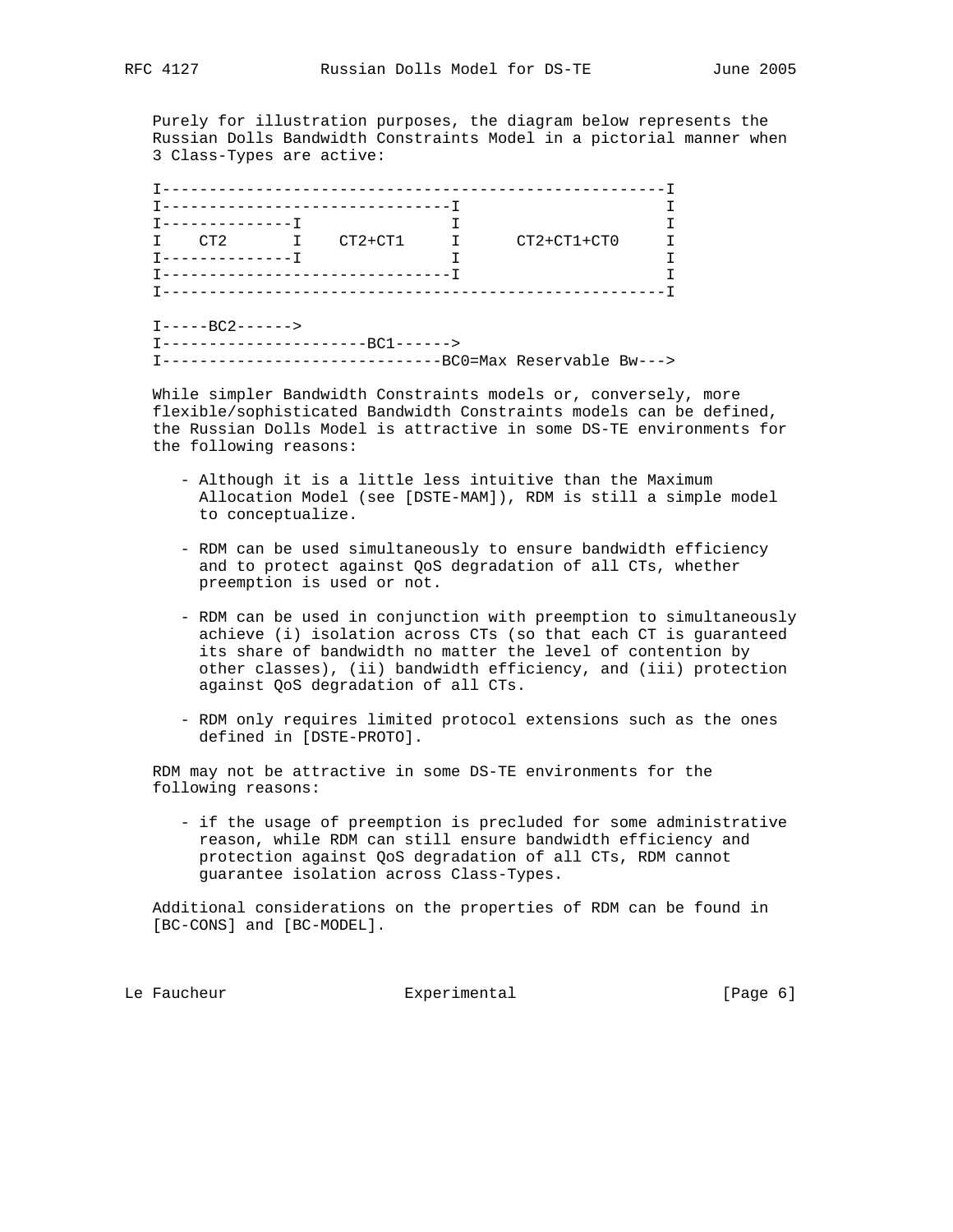Purely for illustration purposes, the diagram below represents the Russian Dolls Bandwidth Constraints Model in a pictorial manner when 3 Class-Types are active:

| T-------------T | I CT2 I CT2+CT1 I                  | $CT2+CT1+CT0$ |  |
|-----------------|------------------------------------|---------------|--|
|                 |                                    |               |  |
|                 |                                    |               |  |
|                 | T--------------------------------T |               |  |
|                 |                                    |               |  |

 While simpler Bandwidth Constraints models or, conversely, more flexible/sophisticated Bandwidth Constraints models can be defined, the Russian Dolls Model is attractive in some DS-TE environments for the following reasons:

- Although it is a little less intuitive than the Maximum Allocation Model (see [DSTE-MAM]), RDM is still a simple model to conceptualize.
- RDM can be used simultaneously to ensure bandwidth efficiency and to protect against QoS degradation of all CTs, whether preemption is used or not.
- RDM can be used in conjunction with preemption to simultaneously achieve (i) isolation across CTs (so that each CT is guaranteed its share of bandwidth no matter the level of contention by other classes), (ii) bandwidth efficiency, and (iii) protection against QoS degradation of all CTs.
- RDM only requires limited protocol extensions such as the ones defined in [DSTE-PROTO].

 RDM may not be attractive in some DS-TE environments for the following reasons:

 - if the usage of preemption is precluded for some administrative reason, while RDM can still ensure bandwidth efficiency and protection against QoS degradation of all CTs, RDM cannot guarantee isolation across Class-Types.

 Additional considerations on the properties of RDM can be found in [BC-CONS] and [BC-MODEL].

Le Faucheur **Experimental** Experimental [Page 6]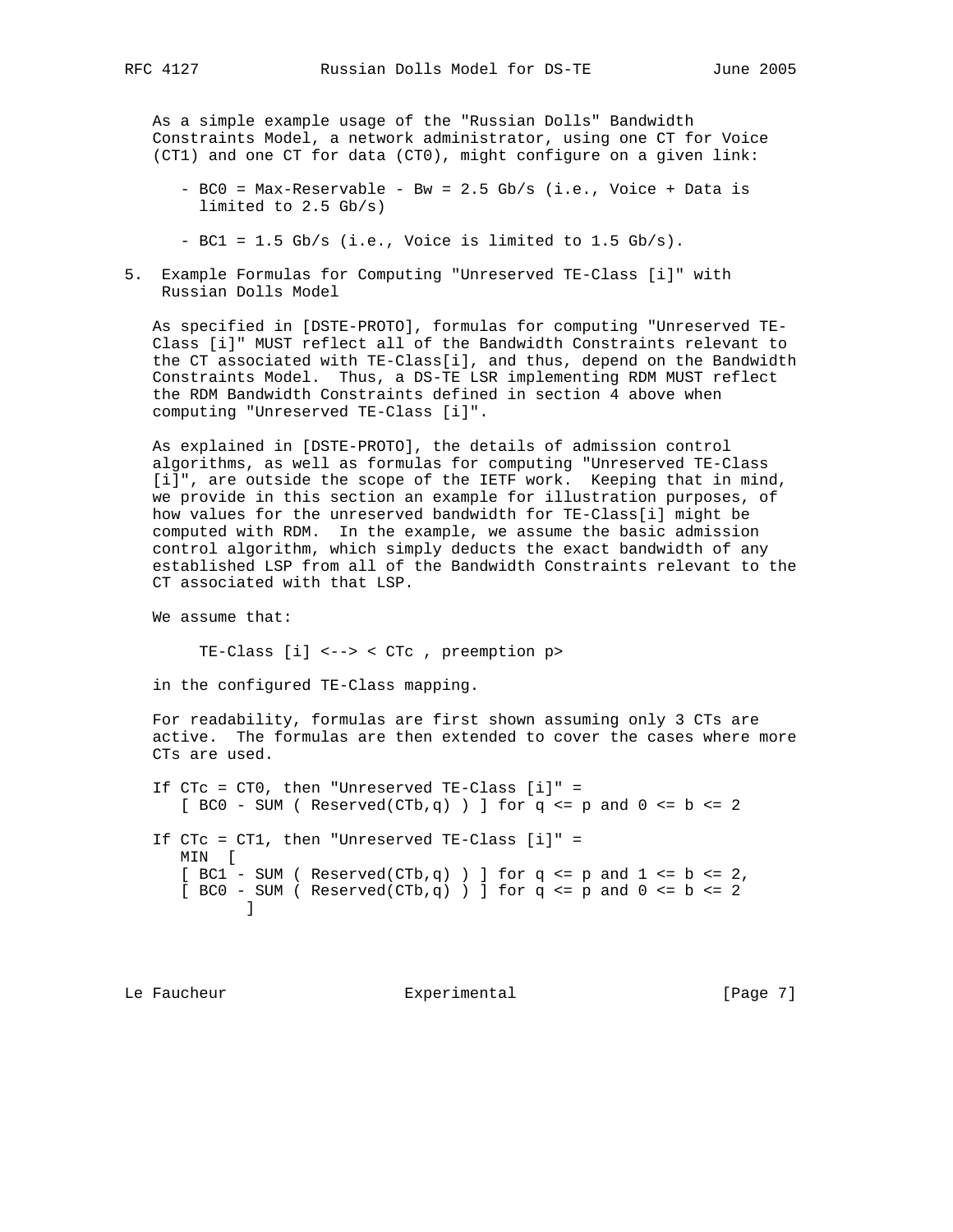As a simple example usage of the "Russian Dolls" Bandwidth Constraints Model, a network administrator, using one CT for Voice (CT1) and one CT for data (CT0), might configure on a given link:

- BC0 = Max-Reservable Bw = 2.5 Gb/s (i.e., Voice + Data is limited to 2.5 Gb/s)
- BC1 = 1.5 Gb/s (i.e., Voice is limited to 1.5 Gb/s).
- 5. Example Formulas for Computing "Unreserved TE-Class [i]" with Russian Dolls Model

 As specified in [DSTE-PROTO], formulas for computing "Unreserved TE- Class [i]" MUST reflect all of the Bandwidth Constraints relevant to the CT associated with TE-Class[i], and thus, depend on the Bandwidth Constraints Model. Thus, a DS-TE LSR implementing RDM MUST reflect the RDM Bandwidth Constraints defined in section 4 above when computing "Unreserved TE-Class [i]".

 As explained in [DSTE-PROTO], the details of admission control algorithms, as well as formulas for computing "Unreserved TE-Class [i]", are outside the scope of the IETF work. Keeping that in mind, we provide in this section an example for illustration purposes, of how values for the unreserved bandwidth for TE-Class[i] might be computed with RDM. In the example, we assume the basic admission control algorithm, which simply deducts the exact bandwidth of any established LSP from all of the Bandwidth Constraints relevant to the CT associated with that LSP.

We assume that:

TE-Class [i] <--> < CTc , preemption p>

in the configured TE-Class mapping.

 For readability, formulas are first shown assuming only 3 CTs are active. The formulas are then extended to cover the cases where more CTs are used.

 If CTc = CT0, then "Unreserved TE-Class [i]" =  $[BC0 - SUM (Reserved(CTb,q))]$  for q <= p and 0 <= b <= 2 If CTc = CT1, then "Unreserved TE-Class [i]" = MIN [  $[BC1 - SUM (Reserved(CTb,q) )]$  for q <= p and  $1 \le b \le 2$ ,  $[BC0 - SUM (Reserved(CTb,q) )]$  for q <= p and 0 <= b <= 2 ]

Le Faucheur **Experimental** Experimental [Page 7]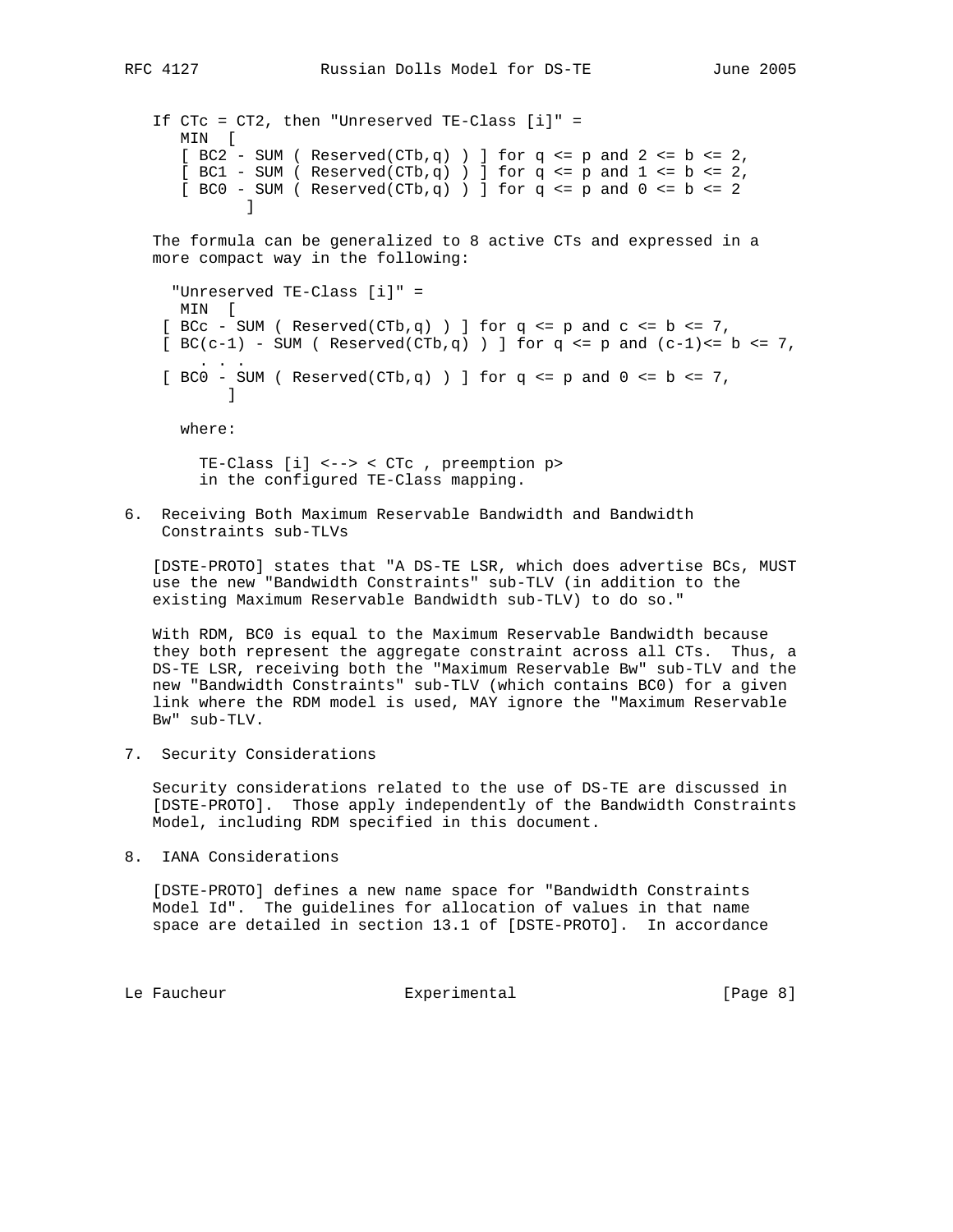```
 If CTc = CT2, then "Unreserved TE-Class [i]" =
     MIN [
    [BC2 - SUM (Reserved(CTb,q) )] for q <= p and 2 <= b <= 2,
    [BC1 - SUM (Reserved(CTb,q) )] for q <= p and 1 <= b <= 2,
    [BC0 - SUM (Reserved(CTb,q) )] for q <= p and 0 <= b <= 2
]
```
 The formula can be generalized to 8 active CTs and expressed in a more compact way in the following:

```
 "Unreserved TE-Class [i]" =
    MIN [
  [ BCc - SUM ( Reserved(CTb,q) ) ] for q <= p and c <= b <= 7,
  [BC(c-1) - SUM (Reserved(CTb,q)) ] for q <= p and (c-1) <= b <= 7,
. . .
  [BC0 - SUM (Reserved(CTb,q) )] for q <= p and 0 <= b <= 7,
]
```
where:

 TE-Class [i] <--> < CTc , preemption p> in the configured TE-Class mapping.

6. Receiving Both Maximum Reservable Bandwidth and Bandwidth Constraints sub-TLVs

 [DSTE-PROTO] states that "A DS-TE LSR, which does advertise BCs, MUST use the new "Bandwidth Constraints" sub-TLV (in addition to the existing Maximum Reservable Bandwidth sub-TLV) to do so."

 With RDM, BC0 is equal to the Maximum Reservable Bandwidth because they both represent the aggregate constraint across all CTs. Thus, a DS-TE LSR, receiving both the "Maximum Reservable Bw" sub-TLV and the new "Bandwidth Constraints" sub-TLV (which contains BC0) for a given link where the RDM model is used, MAY ignore the "Maximum Reservable Bw" sub-TLV.

7. Security Considerations

 Security considerations related to the use of DS-TE are discussed in [DSTE-PROTO]. Those apply independently of the Bandwidth Constraints Model, including RDM specified in this document.

8. IANA Considerations

 [DSTE-PROTO] defines a new name space for "Bandwidth Constraints Model Id". The guidelines for allocation of values in that name space are detailed in section 13.1 of [DSTE-PROTO]. In accordance

Le Faucheur  $\Box$  Experimental  $\Box$  [Page 8]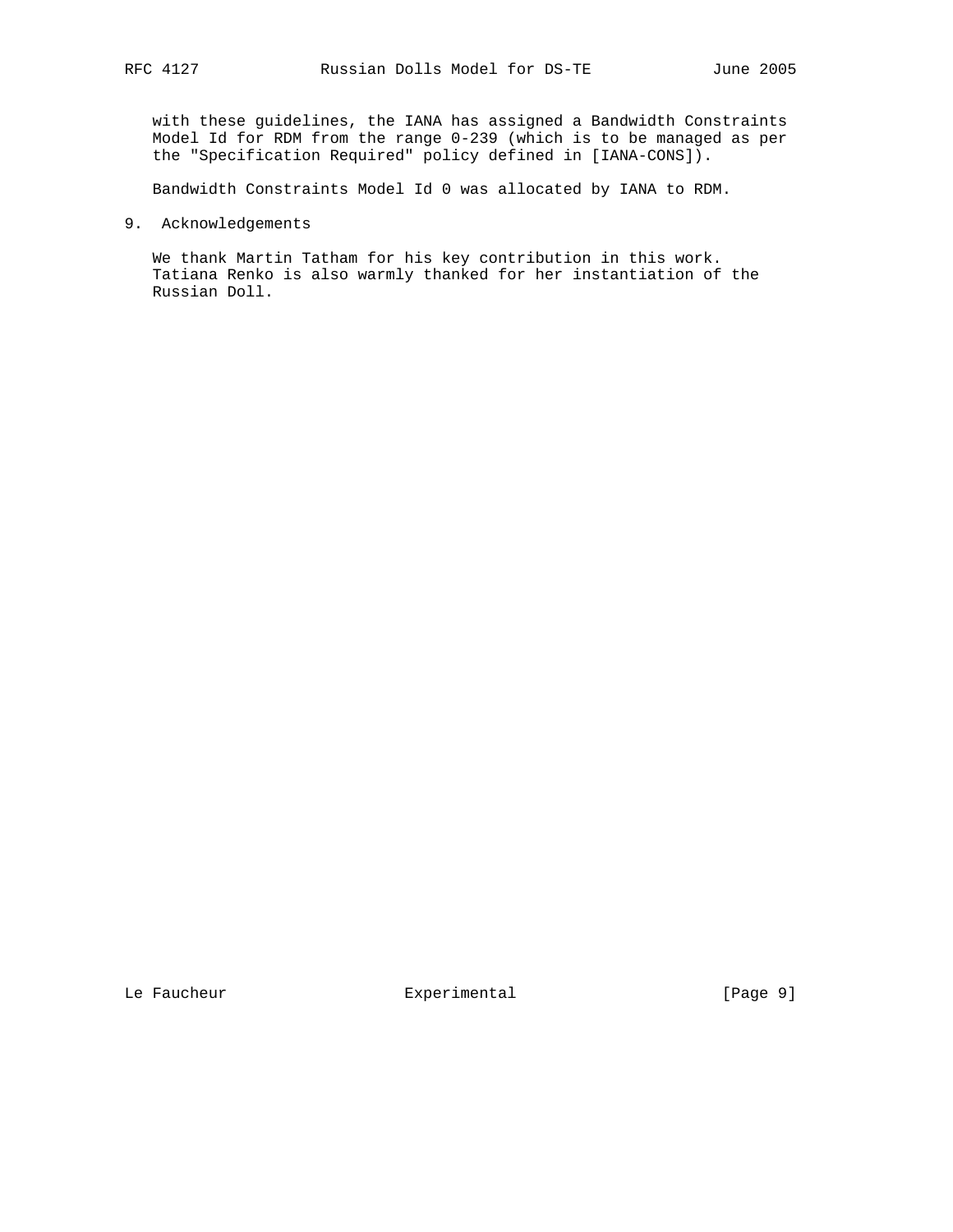with these guidelines, the IANA has assigned a Bandwidth Constraints Model Id for RDM from the range 0-239 (which is to be managed as per the "Specification Required" policy defined in [IANA-CONS]).

Bandwidth Constraints Model Id 0 was allocated by IANA to RDM.

9. Acknowledgements

 We thank Martin Tatham for his key contribution in this work. Tatiana Renko is also warmly thanked for her instantiation of the Russian Doll.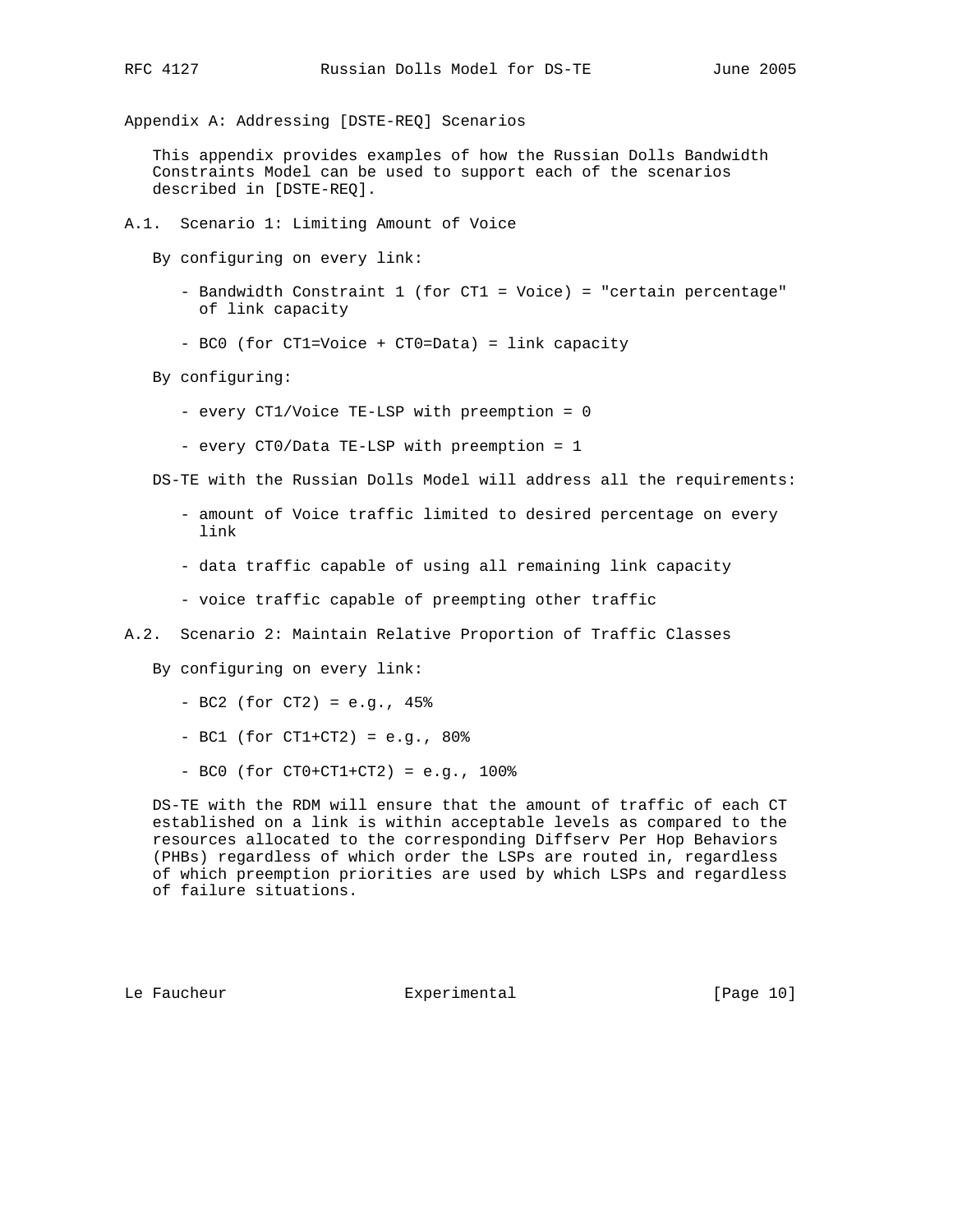Appendix A: Addressing [DSTE-REQ] Scenarios

 This appendix provides examples of how the Russian Dolls Bandwidth Constraints Model can be used to support each of the scenarios described in [DSTE-REQ].

A.1. Scenario 1: Limiting Amount of Voice

By configuring on every link:

- Bandwidth Constraint 1 (for CT1 = Voice) = "certain percentage" of link capacity
- BC0 (for CT1=Voice + CT0=Data) = link capacity

By configuring:

- every CT1/Voice TE-LSP with preemption = 0
- every CT0/Data TE-LSP with preemption = 1

DS-TE with the Russian Dolls Model will address all the requirements:

- amount of Voice traffic limited to desired percentage on every link
- data traffic capable of using all remaining link capacity
- voice traffic capable of preempting other traffic
- A.2. Scenario 2: Maintain Relative Proportion of Traffic Classes

By configuring on every link:

- BC2 (for CT2) = e.g., 45%
- BC1 (for CT1+CT2) = e.g., 80%
- $-$  BC0 (for CT0+CT1+CT2) = e.g., 100%

 DS-TE with the RDM will ensure that the amount of traffic of each CT established on a link is within acceptable levels as compared to the resources allocated to the corresponding Diffserv Per Hop Behaviors (PHBs) regardless of which order the LSPs are routed in, regardless of which preemption priorities are used by which LSPs and regardless of failure situations.

Le Faucheur **Experimental** [Page 10]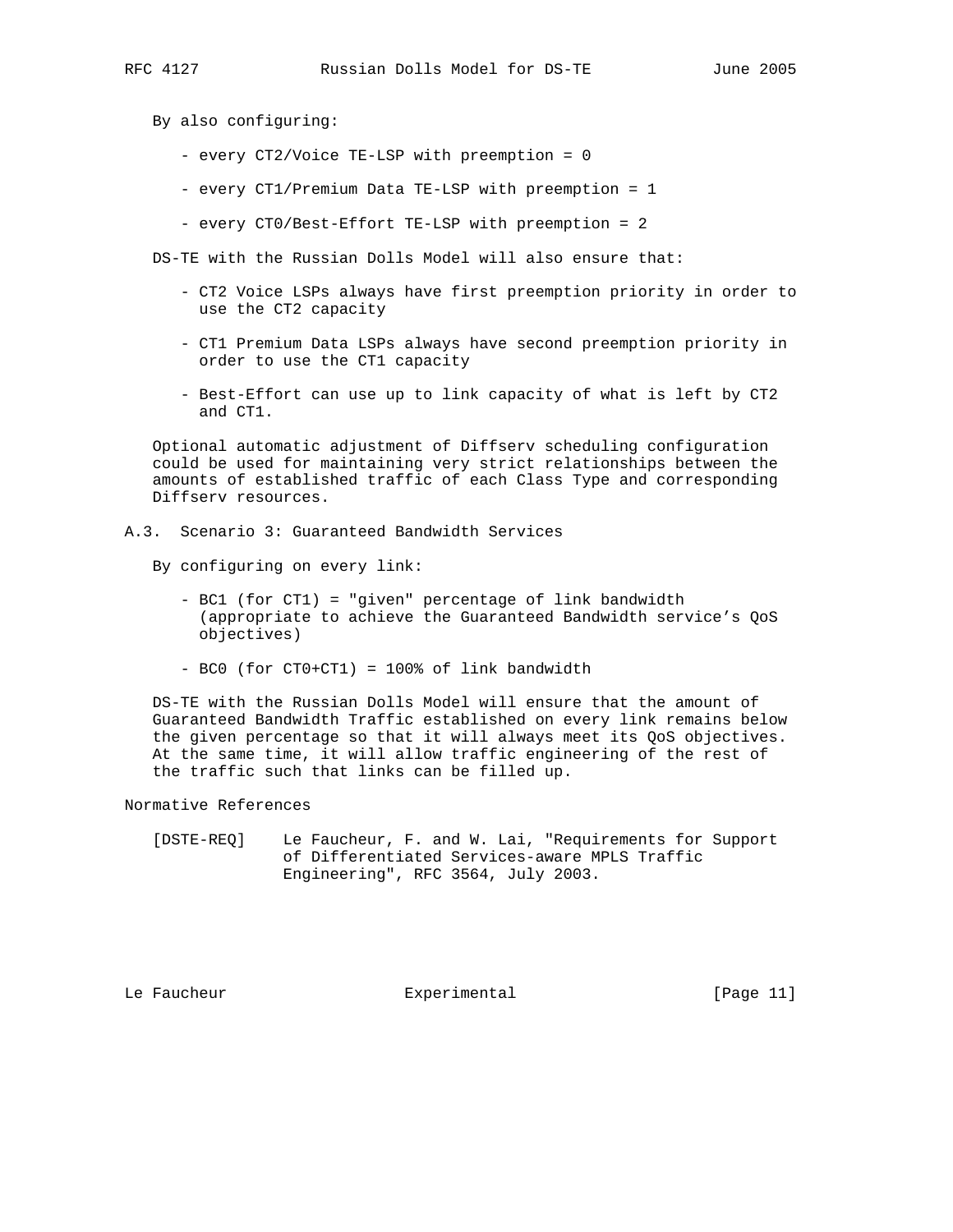By also configuring:

- every CT2/Voice TE-LSP with preemption = 0
- every CT1/Premium Data TE-LSP with preemption = 1
- every CT0/Best-Effort TE-LSP with preemption = 2

DS-TE with the Russian Dolls Model will also ensure that:

- CT2 Voice LSPs always have first preemption priority in order to use the CT2 capacity
- CT1 Premium Data LSPs always have second preemption priority in order to use the CT1 capacity
- Best-Effort can use up to link capacity of what is left by CT2 and CT1.

 Optional automatic adjustment of Diffserv scheduling configuration could be used for maintaining very strict relationships between the amounts of established traffic of each Class Type and corresponding Diffserv resources.

A.3. Scenario 3: Guaranteed Bandwidth Services

By configuring on every link:

- BC1 (for CT1) = "given" percentage of link bandwidth (appropriate to achieve the Guaranteed Bandwidth service's QoS objectives)
- BC0 (for CT0+CT1) = 100% of link bandwidth

 DS-TE with the Russian Dolls Model will ensure that the amount of Guaranteed Bandwidth Traffic established on every link remains below the given percentage so that it will always meet its QoS objectives. At the same time, it will allow traffic engineering of the rest of the traffic such that links can be filled up.

Normative References

 [DSTE-REQ] Le Faucheur, F. and W. Lai, "Requirements for Support of Differentiated Services-aware MPLS Traffic Engineering", RFC 3564, July 2003.

Le Faucheur Experimental [Page 11]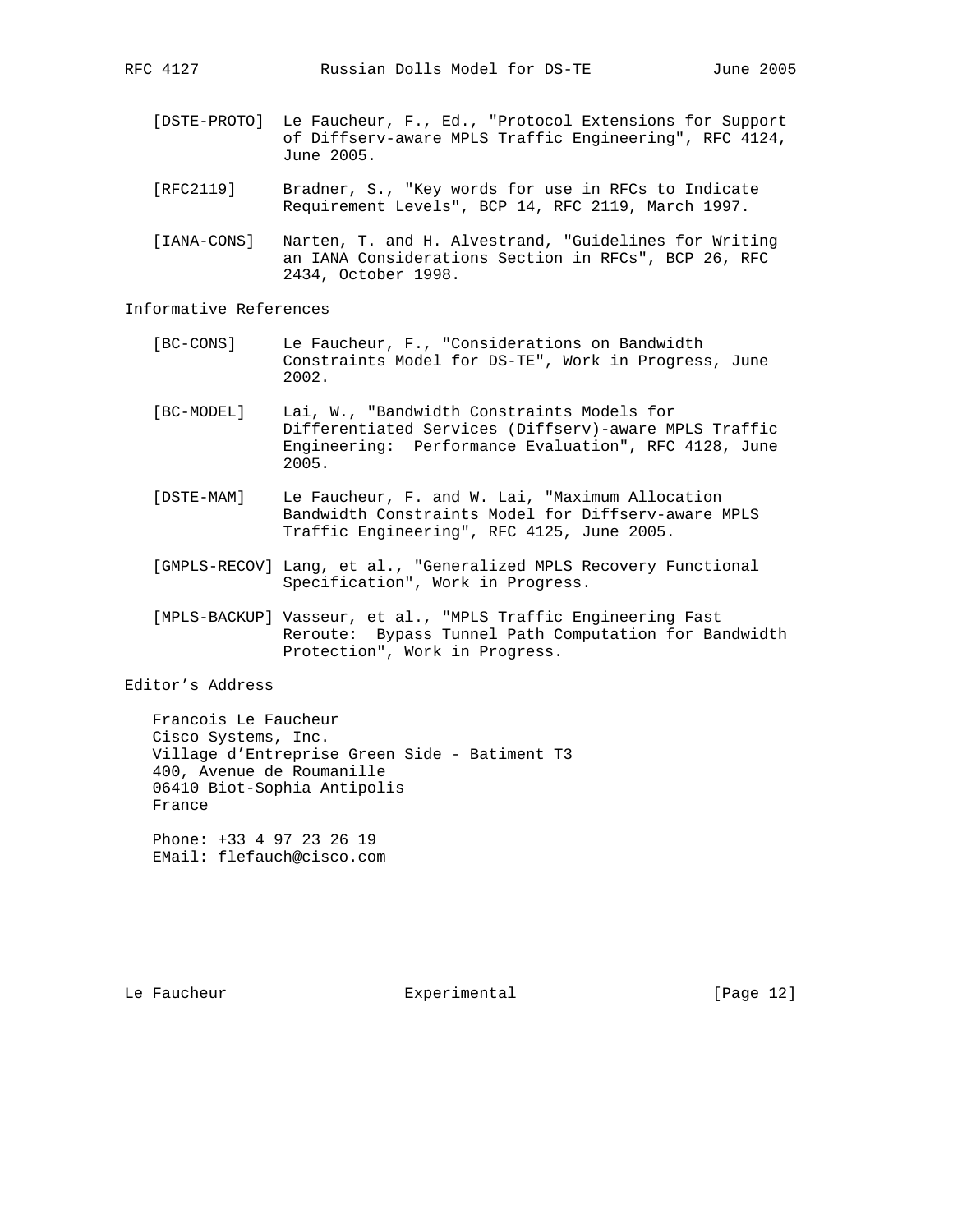- [DSTE-PROTO] Le Faucheur, F., Ed., "Protocol Extensions for Support of Diffserv-aware MPLS Traffic Engineering", RFC 4124, June 2005.
- [RFC2119] Bradner, S., "Key words for use in RFCs to Indicate Requirement Levels", BCP 14, RFC 2119, March 1997.
- [IANA-CONS] Narten, T. and H. Alvestrand, "Guidelines for Writing an IANA Considerations Section in RFCs", BCP 26, RFC 2434, October 1998.

Informative References

- [BC-CONS] Le Faucheur, F., "Considerations on Bandwidth Constraints Model for DS-TE", Work in Progress, June 2002.
- [BC-MODEL] Lai, W., "Bandwidth Constraints Models for Differentiated Services (Diffserv)-aware MPLS Traffic Engineering: Performance Evaluation", RFC 4128, June 2005.
- [DSTE-MAM] Le Faucheur, F. and W. Lai, "Maximum Allocation Bandwidth Constraints Model for Diffserv-aware MPLS Traffic Engineering", RFC 4125, June 2005.
- [GMPLS-RECOV] Lang, et al., "Generalized MPLS Recovery Functional Specification", Work in Progress.
- [MPLS-BACKUP] Vasseur, et al., "MPLS Traffic Engineering Fast Reroute: Bypass Tunnel Path Computation for Bandwidth Protection", Work in Progress.

Editor's Address

 Francois Le Faucheur Cisco Systems, Inc. Village d'Entreprise Green Side - Batiment T3 400, Avenue de Roumanille 06410 Biot-Sophia Antipolis France

 Phone: +33 4 97 23 26 19 EMail: flefauch@cisco.com

Le Faucheur Experimental [Page 12]